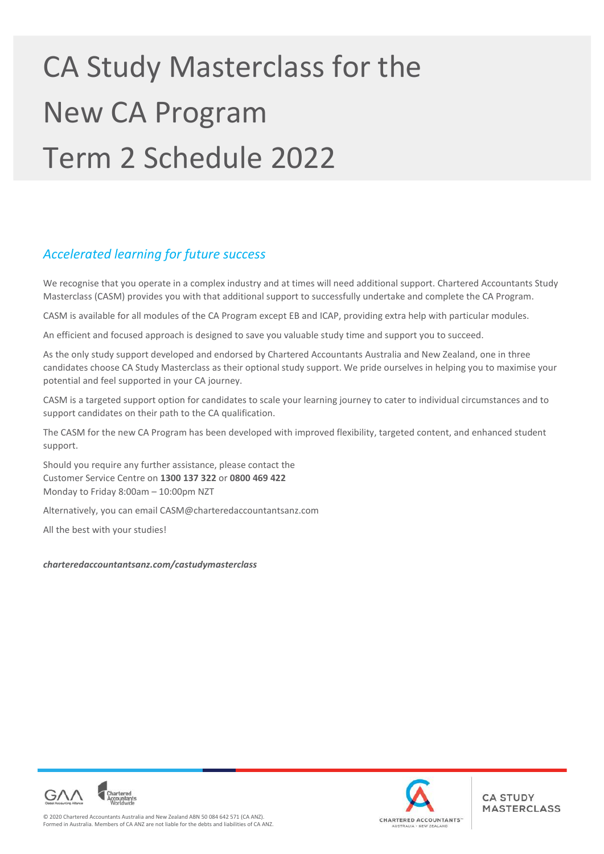# CA Study Masterclass for the New CA Program Term 2 Schedule 2022

# *Accelerated learning for future success*

We recognise that you operate in a complex industry and at times will need additional support. Chartered Accountants Study Masterclass (CASM) provides you with that additional support to successfully undertake and complete the CA Program.

CASM is available for all modules of the CA Program except EB and ICAP, providing extra help with particular modules.

An efficient and focused approach is designed to save you valuable study time and support you to succeed.

As the only study support developed and endorsed by Chartered Accountants Australia and New Zealand, one in three candidates choose CA Study Masterclass as their optional study support. We pride ourselves in helping you to maximise your potential and feel supported in your CA journey.

CASM is a targeted support option for candidates to scale your learning journey to cater to individual circumstances and to support candidates on their path to the CA qualification.

The CASM for the new CA Program has been developed with improved flexibility, targeted content, and enhanced student support.

Should you require any further assistance, please contact the Customer Service Centre on **1300 137 322** or **0800 469 422**  Monday to Friday 8:00am – 10:00pm NZT

Alternatively, you can email CASM@charteredaccountantsanz.com

All the best with your studies!

*charteredaccountantsanz.com/castudymasterclass* 



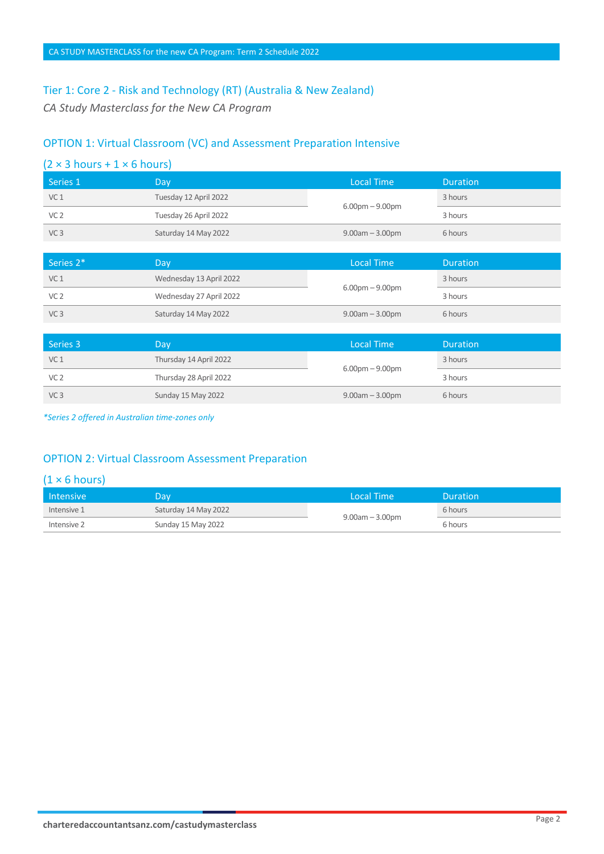# Tier 1: Core 2 - Risk and Technology (RT) (Australia & New Zealand)

*CA Study Masterclass for the New CA Program* 

# OPTION 1: Virtual Classroom (VC) and Assessment Preparation Intensive

| $(2 \times 3 \text{ hours} + 1 \times 6 \text{ hours})$ |                         |                       |                 |
|---------------------------------------------------------|-------------------------|-----------------------|-----------------|
| Series 1                                                | Day                     | <b>Local Time</b>     | <b>Duration</b> |
| VC <sub>1</sub>                                         | Tuesday 12 April 2022   |                       | 3 hours         |
| VC <sub>2</sub>                                         | Tuesday 26 April 2022   | $6.00pm - 9.00pm$     | 3 hours         |
| VC <sub>3</sub>                                         | Saturday 14 May 2022    | $9.00am - 3.00pm$     | 6 hours         |
|                                                         |                         |                       |                 |
|                                                         |                         |                       |                 |
| Series 2*                                               | Day                     | <b>Local Time</b>     | <b>Duration</b> |
| VC <sub>1</sub>                                         | Wednesday 13 April 2022 |                       | 3 hours         |
| VC <sub>2</sub>                                         | Wednesday 27 April 2022 | $6.00$ pm $- 9.00$ pm | 3 hours         |
| VC <sub>3</sub>                                         | Saturday 14 May 2022    | $9.00am - 3.00pm$     | 6 hours         |
|                                                         |                         |                       |                 |

| Series 3        | Dav                    | Local Time           | <b>Duration</b> |
|-----------------|------------------------|----------------------|-----------------|
| VC <sub>1</sub> | Thursday 14 April 2022 | $6.00pm - 9.00pm$    | 3 hours         |
| VC <sub>2</sub> | Thursday 28 April 2022 |                      | 3 hours         |
| VC <sub>3</sub> | Sunday 15 May 2022     | $9.00$ am $-3.00$ pm | 6 hours         |

*\*Series 2 offered in Australian time-zones only* 

# OPTION 2: Virtual Classroom Assessment Preparation

| <b>Intensive</b> | Dav.                 | Local Time           | Duration |
|------------------|----------------------|----------------------|----------|
| Intensive 1      | Saturday 14 May 2022 | $9.00$ am $-3.00$ pm | 6 hours  |
| Intensive 2      | Sunday 15 May 2022   |                      | 6 hours  |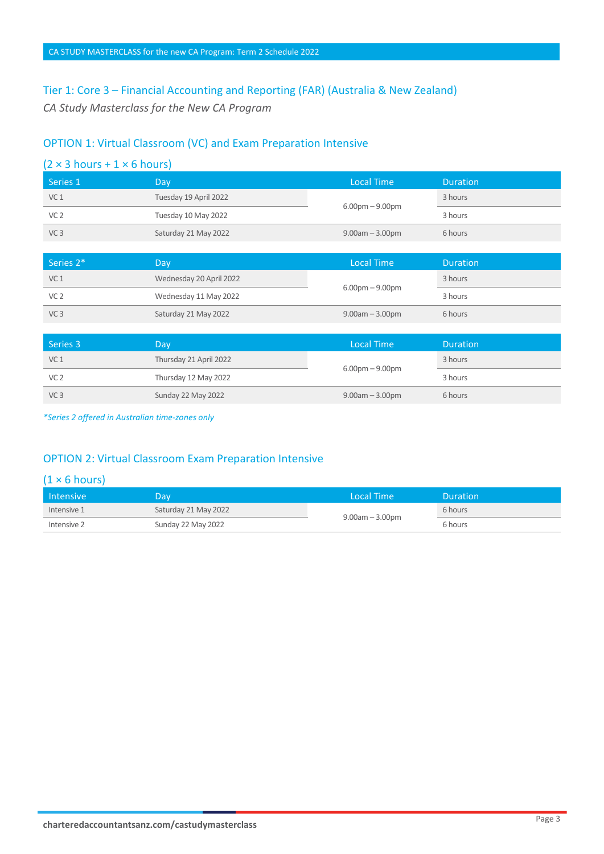# Tier 1: Core 3 – Financial Accounting and Reporting (FAR) (Australia & New Zealand)

*CA Study Masterclass for the New CA Program* 

# OPTION 1: Virtual Classroom (VC) and Exam Preparation Intensive

| $(2 \times 3 \text{ hours} + 1 \times 6 \text{ hours})$ |                         |                       |                 |
|---------------------------------------------------------|-------------------------|-----------------------|-----------------|
| Series 1                                                | Day                     | <b>Local Time</b>     | <b>Duration</b> |
| VC <sub>1</sub>                                         | Tuesday 19 April 2022   |                       | 3 hours         |
| VC <sub>2</sub>                                         | Tuesday 10 May 2022     | $6.00$ pm $- 9.00$ pm | 3 hours         |
| VC <sub>3</sub>                                         | Saturday 21 May 2022    | $9.00am - 3.00pm$     | 6 hours         |
|                                                         |                         |                       |                 |
| Series 2*                                               | Day                     | <b>Local Time</b>     | <b>Duration</b> |
| VC <sub>1</sub>                                         | Wednesday 20 April 2022 |                       | 3 hours         |
| VC <sub>2</sub>                                         | Wednesday 11 May 2022   | $6.00$ pm $-9.00$ pm  | 3 hours         |
| VC <sub>3</sub>                                         | Saturday 21 May 2022    | $9.00am - 3.00pm$     | 6 hours         |
|                                                         |                         |                       |                 |
|                                                         |                         |                       |                 |
| Series 3                                                | Day                     | <b>Local Time</b>     | <b>Duration</b> |

| l Series 3      | Dav.                   | Local Time           | <b>Duration</b> |
|-----------------|------------------------|----------------------|-----------------|
| VC <sub>1</sub> | Thursday 21 April 2022 | $6.00pm - 9.00pm$    | 3 hours         |
| VC <sub>2</sub> | Thursday 12 May 2022   |                      | 3 hours         |
| VC <sub>3</sub> | Sunday 22 May 2022     | $9.00$ am $-3.00$ pm | 6 hours         |

*\*Series 2 offered in Australian time-zones only* 

# OPTION 2: Virtual Classroom Exam Preparation Intensive

| <b>Intensive</b> | Day.                 | Llocal Time !        | Duration |
|------------------|----------------------|----------------------|----------|
| Intensive 1      | Saturday 21 May 2022 | $9.00$ am $-3.00$ pm | 6 hours  |
| Intensive 2      | Sunday 22 May 2022   |                      | 6 hours  |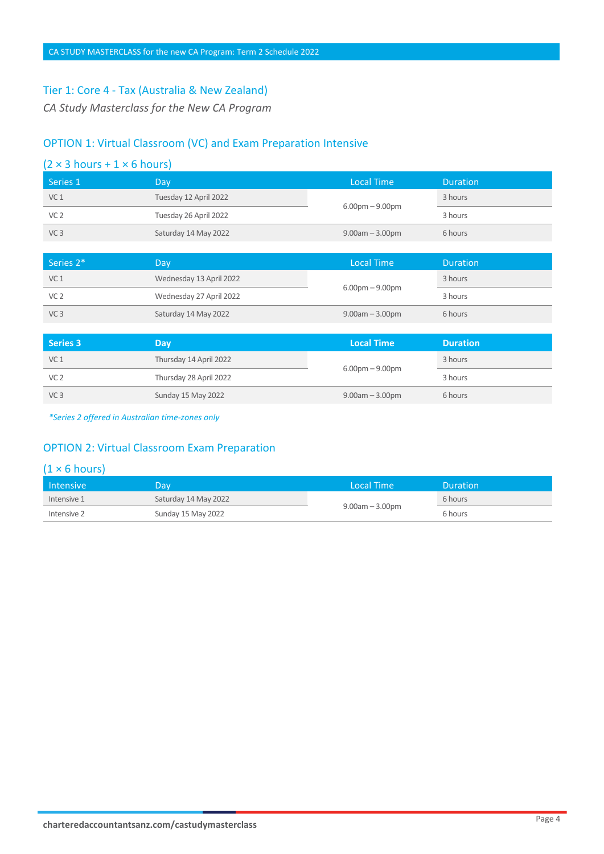#### Tier 1: Core 4 - Tax (Australia & New Zealand)

*CA Study Masterclass for the New CA Program* 

#### OPTION 1: Virtual Classroom (VC) and Exam Preparation Intensive

| <b>Series 3</b>                                         | Day                     | <b>Local Time</b>     | <b>Duration</b> |  |
|---------------------------------------------------------|-------------------------|-----------------------|-----------------|--|
|                                                         |                         |                       |                 |  |
| VC <sub>3</sub>                                         | Saturday 14 May 2022    | $9.00am - 3.00pm$     | 6 hours         |  |
| VC <sub>2</sub>                                         | Wednesday 27 April 2022 |                       | 3 hours         |  |
| VC <sub>1</sub>                                         | Wednesday 13 April 2022 | $6.00pm - 9.00pm$     | 3 hours         |  |
| Series 2*                                               | Day                     | <b>Local Time</b>     | <b>Duration</b> |  |
|                                                         |                         |                       |                 |  |
| VC <sub>3</sub>                                         | Saturday 14 May 2022    | $9.00am - 3.00pm$     | 6 hours         |  |
| VC <sub>2</sub>                                         | Tuesday 26 April 2022   |                       | 3 hours         |  |
| VC <sub>1</sub>                                         | Tuesday 12 April 2022   | $6.00$ pm $- 9.00$ pm | 3 hours         |  |
| Series 1                                                | Day                     | <b>Local Time</b>     | <b>Duration</b> |  |
| $(2 \times 3 \text{ hours} + 1 \times 6 \text{ hours})$ |                         |                       |                 |  |

| Series 3        | Dav.                   | <b>Local Time</b>    | <b>Duration</b> |
|-----------------|------------------------|----------------------|-----------------|
| VC <sub>1</sub> | Thursday 14 April 2022 | $6.00pm - 9.00pm$    | 3 hours         |
| VC <sub>2</sub> | Thursday 28 April 2022 |                      | 3 hours         |
| VC <sub>3</sub> | Sunday 15 May 2022     | $9.00$ am $-3.00$ pm | 6 hours         |

*\*Series 2 offered in Australian time-zones only* 

# OPTION 2: Virtual Classroom Exam Preparation

| l Intensive | 2aV                  | Local Time           | <b>Duration</b> |
|-------------|----------------------|----------------------|-----------------|
| Intensive 1 | Saturday 14 May 2022 | $9.00$ am $-3.00$ pm | 6 hours         |
| Intensive 2 | Sunday 15 May 2022   |                      | 6 hours         |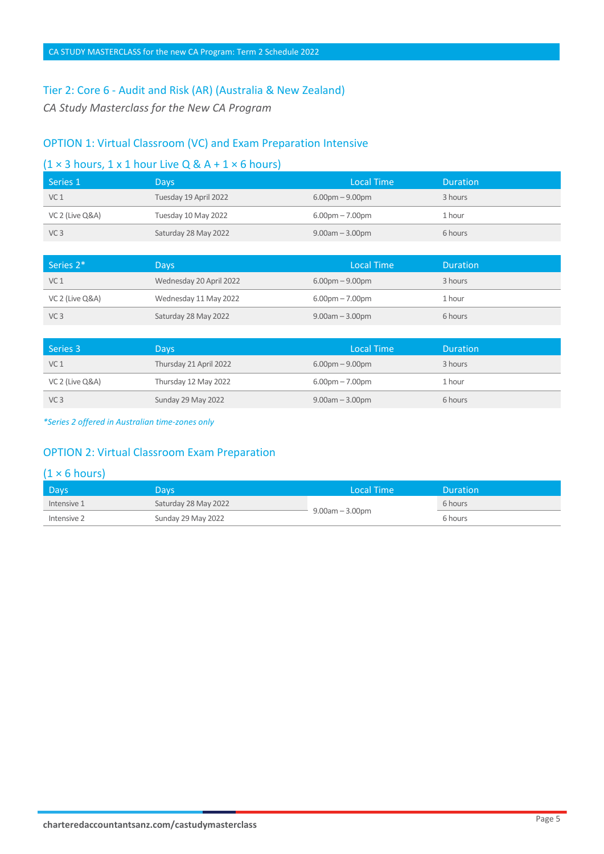# Tier 2: Core 6 - Audit and Risk (AR) (Australia & New Zealand)

*CA Study Masterclass for the New CA Program* 

# OPTION 1: Virtual Classroom (VC) and Exam Preparation Intensive

# $(1 \times 3$  hours, 1 x 1 hour Live Q & A + 1  $\times$  6 hours)

| Series 1        | <b>Days</b>           | Local Time           | Duration |
|-----------------|-----------------------|----------------------|----------|
| VC <sub>1</sub> | Tuesday 19 April 2022 | $6.00pm - 9.00pm$    | 3 hours  |
| VC 2 (Live Q&A) | Tuesday 10 May 2022   | $6.00pm - 7.00pm$    | 1 hour   |
| VC <sub>3</sub> | Saturday 28 May 2022  | $9.00$ am $-3.00$ pm | 6 hours  |

| Series 2*       | <b>Days</b>             | Local Time                        | <b>Duration</b> |
|-----------------|-------------------------|-----------------------------------|-----------------|
| VC <sub>1</sub> | Wednesday 20 April 2022 | $6.00pm - 9.00pm$                 | 3 hours         |
| VC 2 (Live Q&A) | Wednesday 11 May 2022   | $6.00 \text{pm} - 7.00 \text{pm}$ | 1 hour          |
| VC <sub>3</sub> | Saturday 28 May 2022    | $9.00$ am $-3.00$ pm              | 6 hours         |

| Series 3        | <b>Days</b>            | Local Time        | <b>Duration</b> |
|-----------------|------------------------|-------------------|-----------------|
| VC <sub>1</sub> | Thursday 21 April 2022 | $6.00pm - 9.00pm$ | 3 hours         |
| VC 2 (Live Q&A) | Thursday 12 May 2022   | $6.00pm - 7.00pm$ | 1 hour          |
| VC <sub>3</sub> | Sunday 29 May 2022     | $9.00am - 3.00pm$ | 6 hours         |

*\*Series 2 offered in Australian time-zones only* 

# OPTION 2: Virtual Classroom Exam Preparation

| <b>Days</b> | Davs.                | Local Time           | <b>Duration</b> |
|-------------|----------------------|----------------------|-----------------|
| Intensive 1 | Saturday 28 May 2022 | $9.00$ am $-3.00$ pm | 6 hours         |
| Intensive 2 | Sunday 29 May 2022   |                      | 6 hours         |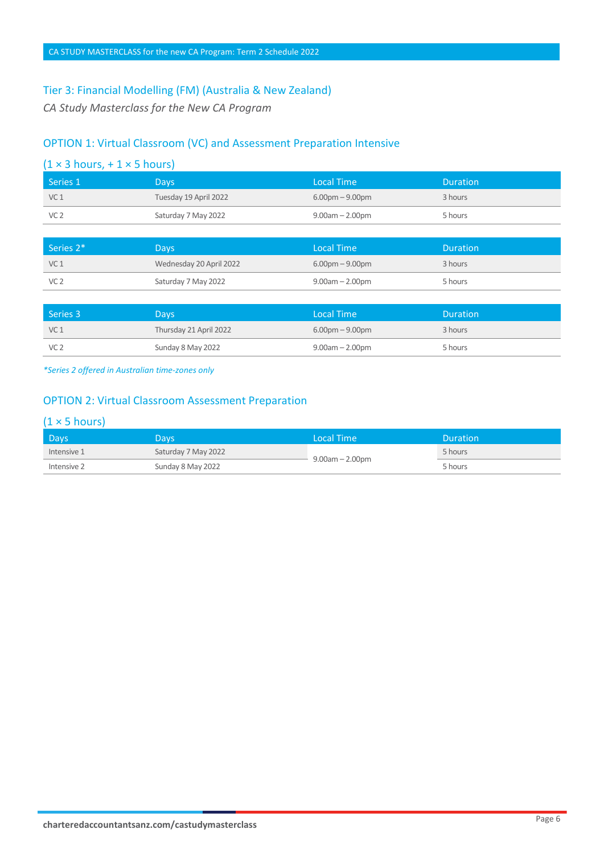#### Tier 3: Financial Modelling (FM) (Australia & New Zealand)

*CA Study Masterclass for the New CA Program* 

# OPTION 1: Virtual Classroom (VC) and Assessment Preparation Intensive

| $(1 \times 3$ hours, + 1 $\times$ 5 hours) |
|--------------------------------------------|
|--------------------------------------------|

| Tuesday 19 April 2022<br>$6.00pm - 9.00pm$<br>VC <sub>1</sub><br>3 hours<br>Saturday 7 May 2022<br>$9.00$ am $- 2.00$ pm<br>VC <sub>2</sub><br>5 hours | Series 1 | Days | Local Time | <b>Duration</b> |
|--------------------------------------------------------------------------------------------------------------------------------------------------------|----------|------|------------|-----------------|
|                                                                                                                                                        |          |      |            |                 |
|                                                                                                                                                        |          |      |            |                 |

| Series 2 <sup>*</sup> | Days,                   | Local Time                        | <b>Duration</b> |
|-----------------------|-------------------------|-----------------------------------|-----------------|
| VC <sub>1</sub>       | Wednesday 20 April 2022 | $6.00 \text{pm} - 9.00 \text{pm}$ | 3 hours         |
| VC <sub>2</sub>       | Saturday 7 May 2022     | $9.00$ am $- 2.00$ pm             | 5 hours         |

| Series 3        | <b>Days</b>            | Local Time            | <b>Duration</b> |
|-----------------|------------------------|-----------------------|-----------------|
| VC <sub>1</sub> | Thursday 21 April 2022 | $6.00pm - 9.00pm$     | 3 hours         |
| VC <sub>2</sub> | Sunday 8 May 2022      | $9.00$ am $- 2.00$ pm | 5 hours         |

*\*Series 2 offered in Australian time-zones only* 

# OPTION 2: Virtual Classroom Assessment Preparation

| Days        | Davs                | ا Local Time          | <b>Duration</b> |
|-------------|---------------------|-----------------------|-----------------|
| Intensive 1 | Saturday 7 May 2022 | $9.00$ am $- 2.00$ pm | 5 hours         |
| Intensive 2 | Sunday 8 May 2022   |                       | 5 hours         |